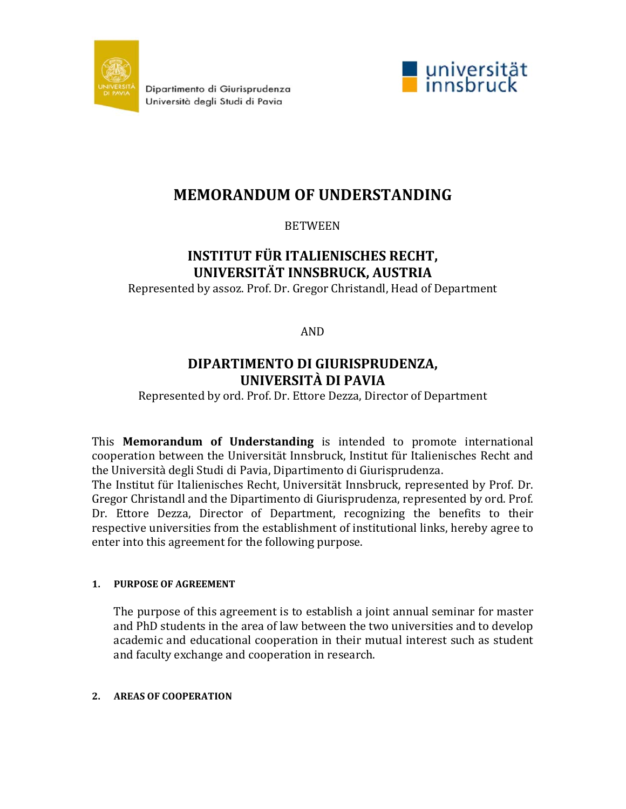

Dipartimento di Giurisprudenza Università degli Studi di Pavia



# **MEMORANDUM OF UNDERSTANDING**

BETWEEN

# **INSTITUT FÜR ITALIENISCHES RECHT, UNIVERSITÄT INNSBRUCK, AUSTRIA**

Represented by assoz. Prof. Dr. Gregor Christandl, Head of Department

AND

# **DIPARTIMENTO DI GIURISPRUDENZA, UNIVERSITÀ DI PAVIA**

Represented by ord. Prof. Dr. Ettore Dezza, Director of Department

This **Memorandum of Understanding** is intended to promote international cooperation between the Universität Innsbruck, Institut für Italienisches Recht and the Università degli Studi di Pavia, Dipartimento di Giurisprudenza.

The Institut für Italienisches Recht, Universität Innsbruck, represented by Prof. Dr. Gregor Christandl and the Dipartimento di Giurisprudenza, represented by ord. Prof. Dr. Ettore Dezza, Director of Department, recognizing the benefits to their respective universities from the establishment of institutional links, hereby agree to enter into this agreement for the following purpose.

# **1. PURPOSE OF AGREEMENT**

The purpose of this agreement is to establish a joint annual seminar for master and PhD students in the area of law between the two universities and to develop academic and educational cooperation in their mutual interest such as student and faculty exchange and cooperation in research.

# **2. AREAS OF COOPERATION**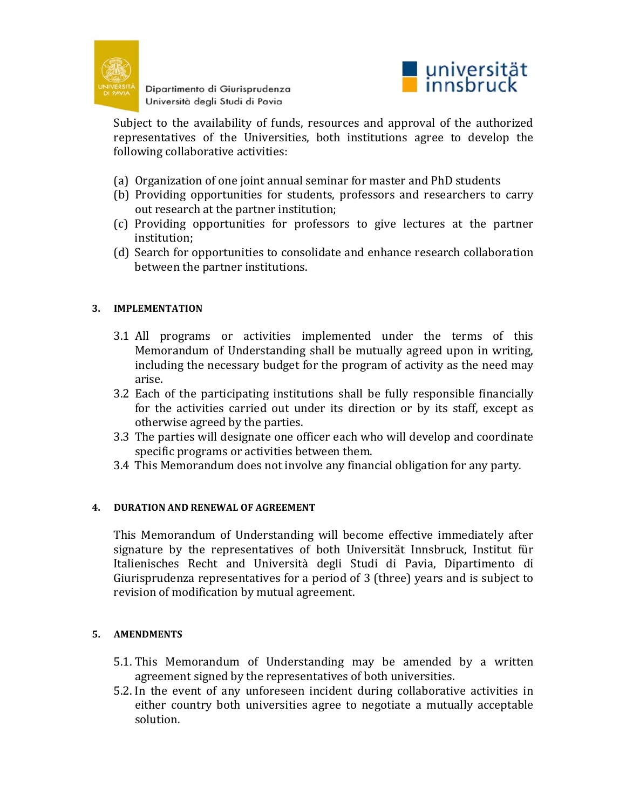

Dipartimento di Giurisprudenza Università degli Studi di Pavia



Subject to the availability of funds, resources and approval of the authorized representatives of the Universities, both institutions agree to develop the following collaborative activities:

- (a) Organization of one joint annual seminar for master and PhD students
- (b) Providing opportunities for students, professors and researchers to carry out research at the partner institution;
- (c) Providing opportunities for professors to give lectures at the partner institution;
- (d) Search for opportunities to consolidate and enhance research collaboration between the partner institutions.

# **3. IMPLEMENTATION**

- 3.1 All programs or activities implemented under the terms of this Memorandum of Understanding shall be mutually agreed upon in writing, including the necessary budget for the program of activity as the need may arise.
- 3.2 Each of the participating institutions shall be fully responsible financially for the activities carried out under its direction or by its staff, except as otherwise agreed by the parties.
- 3.3 The parties will designate one officer each who will develop and coordinate specific programs or activities between them.
- 3.4 This Memorandum does not involve any financial obligation for any party.

### **4. DURATION AND RENEWAL OF AGREEMENT**

This Memorandum of Understanding will become effective immediately after signature by the representatives of both Universität Innsbruck, Institut für Italienisches Recht and Università degli Studi di Pavia, Dipartimento di Giurisprudenza representatives for a period of 3 (three) years and is subject to revision of modification by mutual agreement.

### **5. AMENDMENTS**

- 5.1. This Memorandum of Understanding may be amended by a written agreement signed by the representatives of both universities.
- 5.2. In the event of any unforeseen incident during collaborative activities in either country both universities agree to negotiate a mutually acceptable solution.